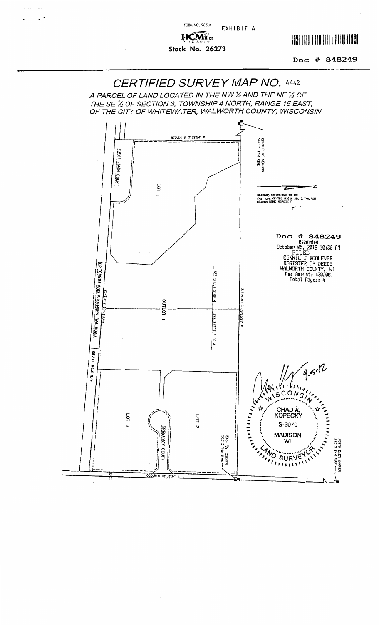FORM NO. 985-A EXHIBIT A

 $UCM<sub>ller</sub><sup>2</sup>$ Stock No. 26273

 $\ddot{\phantom{1}}$ 

 $\ddot{\phantom{0}}$ 

 $\hat{\mathcal{E}}$ 

## **IN THE REAL PROPERTY OF A STATE OF A STATE OF A STATE OF A STATE OF A STATE OF A STATE OF A STATE OF A STATE**

Doc: # 848249

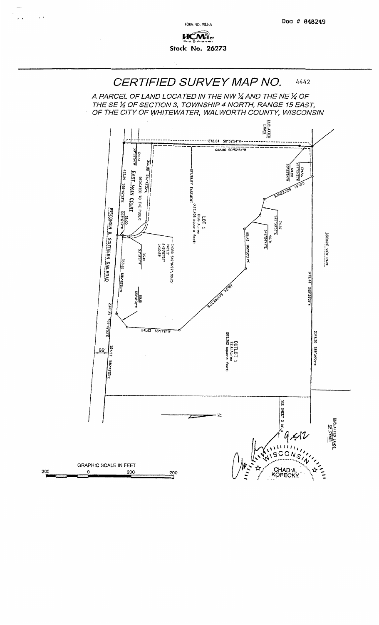

FORM NO. 985-A

 $\ddot{\phantom{1}}$ 

 $\cdot$ 

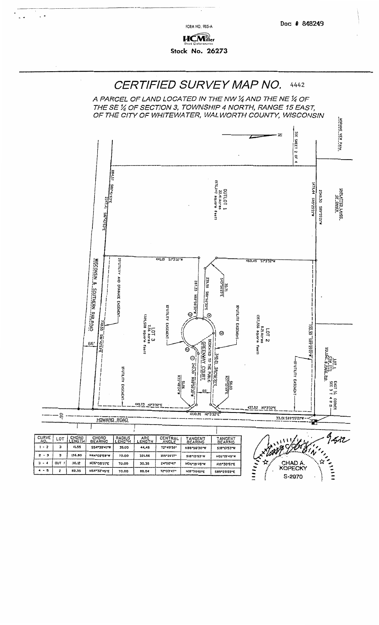**FORM NO. 985-A** 

 $\ddot{\phantom{0}}$